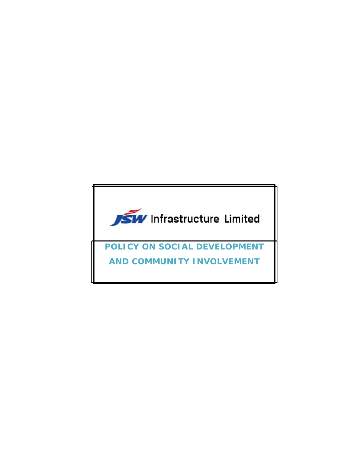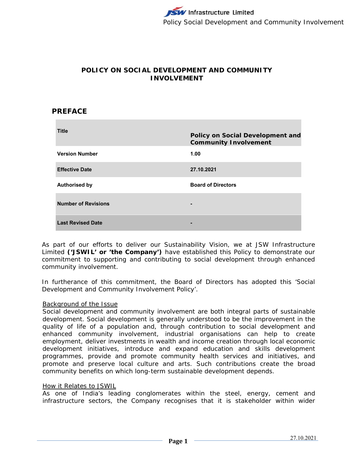# **POLICY ON SOCIAL DEVELOPMENT AND COMMUNITY INVOLVEMENT**

### **PREFACE**

| <b>Title</b>               | <b>Policy on Social Development and</b><br><b>Community Involvement</b> |
|----------------------------|-------------------------------------------------------------------------|
| <b>Version Number</b>      | 1.00                                                                    |
| <b>Effective Date</b>      | 27.10.2021                                                              |
| <b>Authorised by</b>       | <b>Board of Directors</b>                                               |
| <b>Number of Revisions</b> |                                                                         |
| <b>Last Revised Date</b>   |                                                                         |

As part of our efforts to deliver our Sustainability Vision, we at JSW Infrastructure Limited **('JSWIL' or 'the Company')** have established this Policy to demonstrate our commitment to supporting and contributing to social development through enhanced community involvement.

In furtherance of this commitment, the Board of Directors has adopted this 'Social Development and Community Involvement Policy'.

#### Background of the Issue

Social development and community involvement are both integral parts of sustainable development. Social development is generally understood to be the improvement in the quality of life of a population and, through contribution to social development and enhanced community involvement, industrial organisations can help to create employment, deliver investments in wealth and income creation through local economic development initiatives, introduce and expand education and skills development programmes, provide and promote community health services and initiatives, and promote and preserve local culture and arts. Such contributions create the broad community benefits on which long-term sustainable development depends.

### How it Relates to JSWIL

As one of India's leading conglomerates within the steel, energy, cement and infrastructure sectors, the Company recognises that it is stakeholder within wider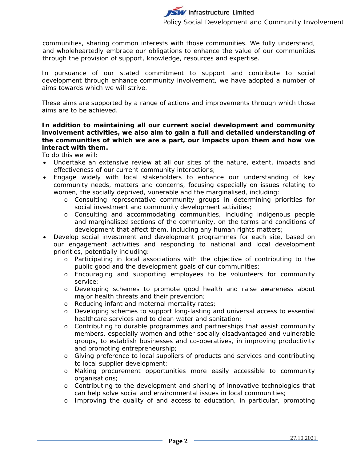communities, sharing common interests with those communities. We fully understand, and wholeheartedly embrace our obligations to enhance the value of our communities through the provision of support, knowledge, resources and expertise.

In pursuance of our stated commitment to support and contribute to social development through enhance community involvement, we have adopted a number of aims towards which we will strive.

These aims are supported by a range of actions and improvements through which those aims are to be achieved.

### **In addition to maintaining all our current social development and community involvement activities, we also aim to gain a full and detailed understanding of the communities of which we are a part, our impacts upon them and how we interact with them.**

To do this we will:

- Undertake an extensive review at all our sites of the nature, extent, impacts and effectiveness of our current community interactions;
- Engage widely with local stakeholders to enhance our understanding of key community needs, matters and concerns, focusing especially on issues relating to women, the socially deprived, vunerable and the marginalised, including:
	- o Consulting representative community groups in determining priorities for social investment and community development activities;
	- o Consulting and accommodating communities, including indigenous people and marginalised sections of the community, on the terms and conditions of development that affect them, including any human rights matters;
- Develop social investment and development programmes for each site, based on our engagement activities and responding to national and local development priorities, potentially including:
	- o Participating in local associations with the objective of contributing to the public good and the development goals of our communities;
	- o Encouraging and supporting employees to be volunteers for community service;
	- o Developing schemes to promote good health and raise awareness about major health threats and their prevention;
	- o Reducing infant and maternal mortality rates;
	- o Developing schemes to support long-lasting and universal access to essential healthcare services and to clean water and sanitation;
	- o Contributing to durable programmes and partnerships that assist community members, especially women and other socially disadvantaged and vulnerable groups, to establish businesses and co-operatives, in improving productivity and promoting entrepreneurship;
	- o Giving preference to local suppliers of products and services and contributing to local supplier development;
	- o Making procurement opportunities more easily accessible to community organisations;
	- o Contributing to the development and sharing of innovative technologies that can help solve social and environmental issues in local communities;
	- o Improving the quality of and access to education, in particular, promoting